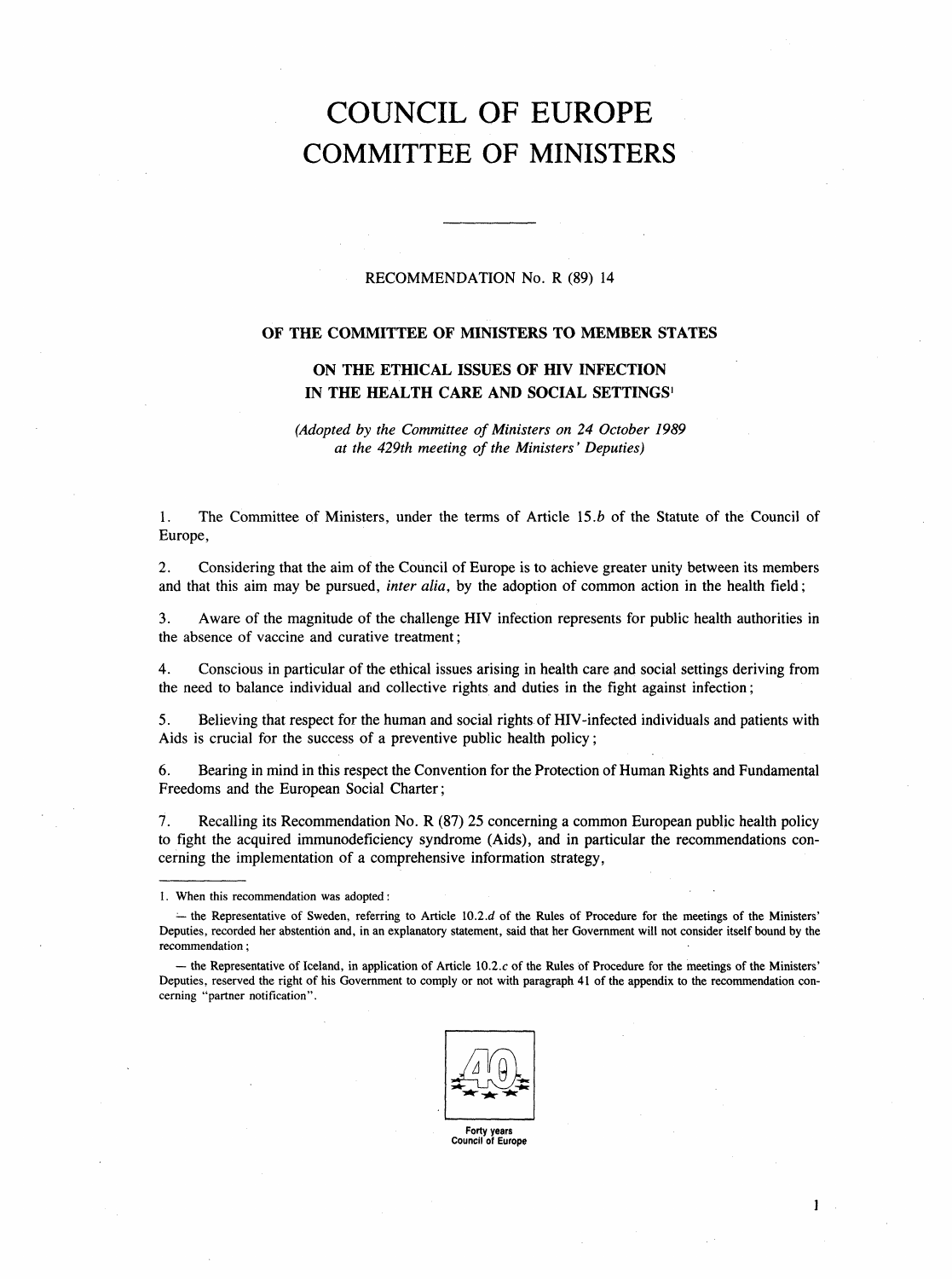# COUNCIL OF EUROPE COMMITTEE OF MINISTERS

# RECOMMENDATION No. R (89) 14

# OF THE COMMITTEE OF MINISTERS TO MEMBER STATES

# ON THE ETHICAL ISSUES OF HIV INFECTION IN THE HEALTH CARE AND SOCIAL SETTINGS<sup>1</sup>

(Adopted by the Committee of Ministers on 24 October 1989 at the 429th meeting of the Ministers' Deputies)

1. The Committee of Ministers, under the terms of Article 15.b of the Statute of the Council of Europe,

2. Considering that the aim of the Council of Europe is to achieve greater unity between its members and that this aim may be pursued, *inter alia*, by the adoption of common action in the health field;

3. Aware of the magnitude of the challenge HIV infection represents for public health authorities in the absence of vaccine and curative treatment;

4. Conscious in particular of the ethical issues arising in health care and social settings deriving from the need to balance individual and collective rights and duties in the fight against infection;

5. Believing that respect for the human and social rights of HIV-infected individuals and patients with Aids is crucial for the success of a preventive public health policy;

6. Bearing in mind in this respect the Convention for the Protection of Human Rights and Fundamental Freedoms and the European Social Charter;

7. Recalling its Recommendation No. R (87) 25 concerning a common European public health policy to fight the acquired immunodeficiency syndrome (Aids), and in particular the recommendations concerning the implementation of a comprehensive information strategy,

 $-$  the Representative of Iceland, in application of Article 10.2. $c$  of the Rules of Procedure for the meetings of the Ministers' Deputies, reserved the right of his Government to comply or not with paragraph 41 of the appendix to the recommendation concerning "partner notification".



Forty years Council of Europe

<sup>1.</sup> When this recommendation was adopted:

 $-$  the Representative of Sweden, referring to Article 10.2.d of the Rules of Procedure for the meetings of the Ministers' Deputies, recorded her abstention and, in an explanatory statement, said that her Government will not consider itself bound by the recommendation;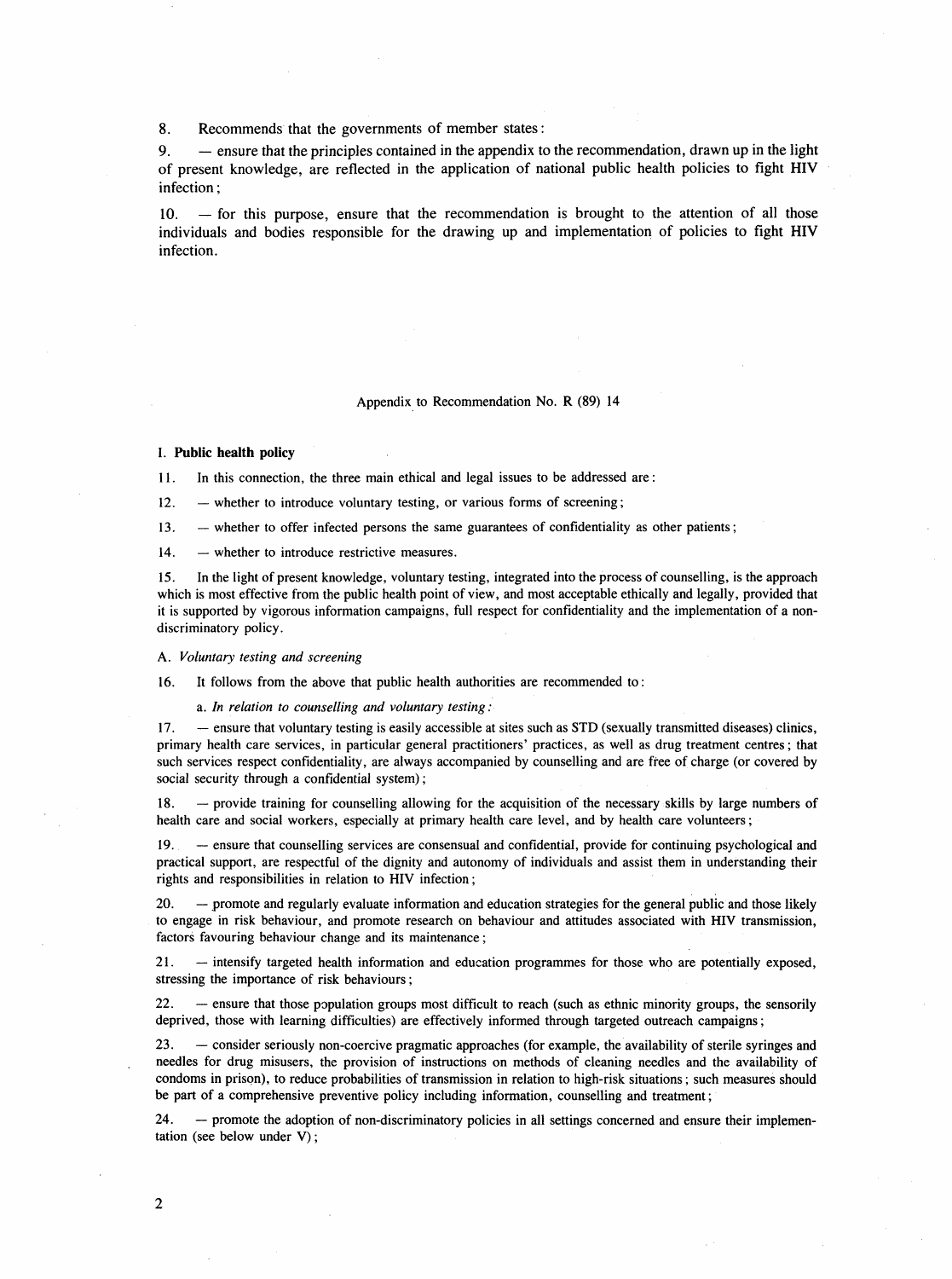8. Recommends that the governments of member states:

9. - ensure that the principles contained in the appendix to the recommendation, drawn up in the light of present knowledge, are reflected in the application of national public health policies to fight HIV infection;

 $10.$  - for this purpose, ensure that the recommendation is brought to the attention of all those individuals and bodies responsible for the drawing up and implementation of policies to fight HIV infection.

## Appendix to Recommendation No. R (89) 14

# I. Public health policy

11. In this connection, the three main ethical and legal issues to be addressed are:

12. - whether to introduce voluntary testing, or various forms of screening;

13. - whether to offer infected persons the same guarantees of confidentiality as other patients;

14. - whether to introduce restrictive measures.

15. In the light of present knowledge, voluntary testing, integrated into the process of counselling, is the approach which is most effective from the public health point of view, and most acceptable ethically and legally, provided that it is supported by vigorous information campaigns, full respect for confidentiality and the implementation of a nondiscriminatory policy.

A. Voluntary testing and screening

16. It follows from the above that public health authorities are recommended to:

a. In relation to counselling and voluntary testing:

17. - ensure that voluntary testing is easily accessible at sites such as STD (sexually transmitted diseases) clinics, primary health care services, in particular general practitioners' practices, as well as drug treatment centres; that such services respect confidentiality, are always accompanied by counselling and are free of charge (or covered by social security through a confidential system);

18. - provide training for counselling allowing for the acquisition of the necessary skills by large numbers of health care and social workers, especially at primary health care level, and by health care volunteers;

19. - ensure that counselling services are consensual and confidential, provide for continuing psychological and practical support, are respectful of the dignity and autonomy of individuals and assist them in understanding their rights and responsibilities in relation to HIV infection;

20. - promote and regularly evaluate information and education strategies for the general public and those likely to engage in risk behaviour, and promote research on behaviour and attitudes associated with HIV transmission, factors favouring behaviour change and its maintenance;

21. - intensify targeted health information and education programmes for those who are potentially exposed, stressing the importance of risk behaviours;

22. - ensure that those population groups most difficult to reach (such as ethnic minority groups, the sensorily deprived, those with learning difficulties) are effectively informed through targeted outreach campaigns;

23. - consider seriously non-coercive pragmatic approaches (for example, the availability of sterile syringes and needles for drug misusers, the provision of instructions on methods of cleaning needles and the availability of condoms in prison), to reduce probabilities of transmission in relation to high-risk situations; such measures should be part of a comprehensive preventive policy including information, counselling and treatment;

24. - promote the adoption of non-discriminatory policies in all settings concerned and ensure their implementation (see below under V);

 $\sim 10^6$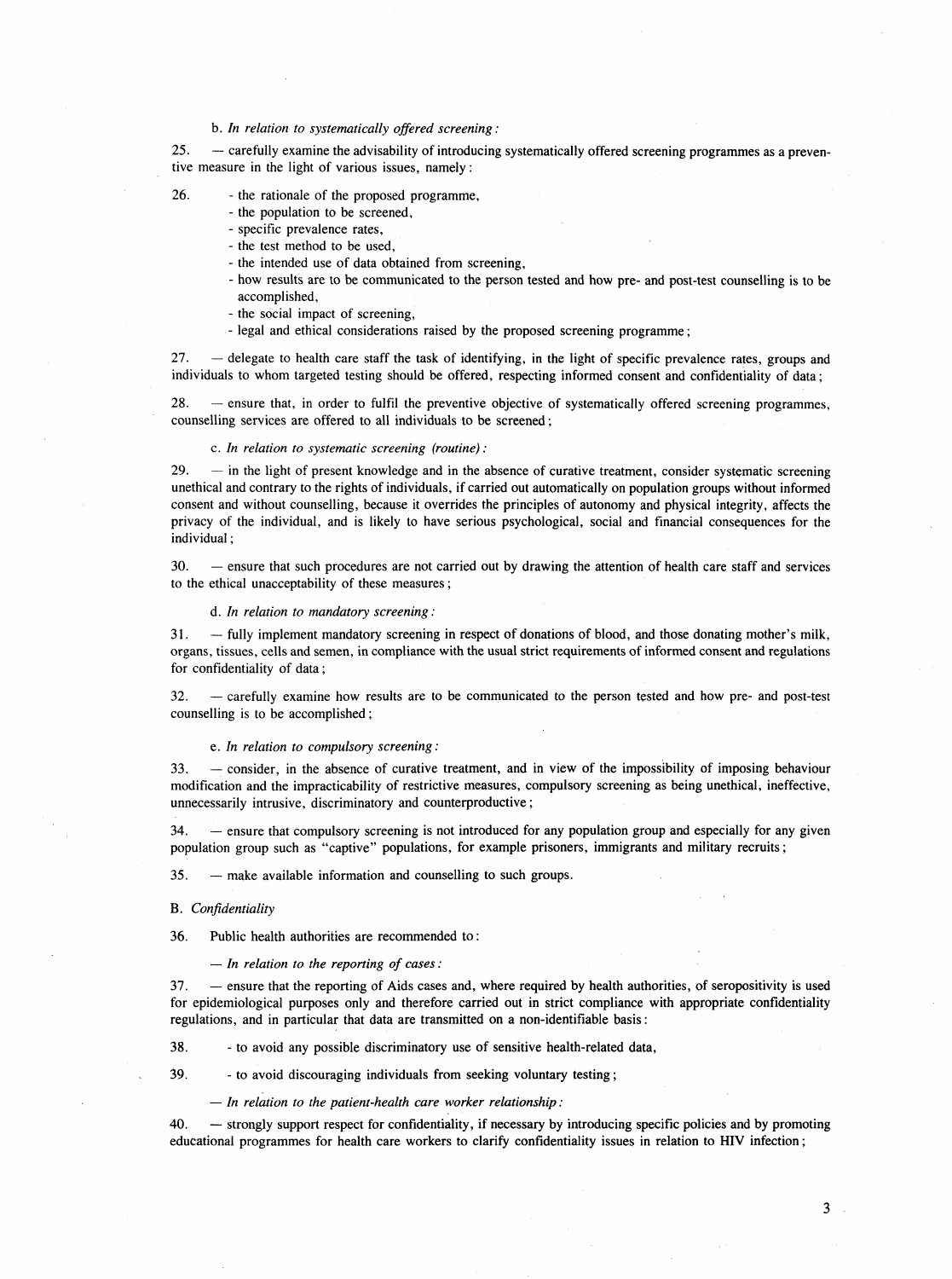# b. In relation to systematically offered screening:

25. - carefully examine the advisability of introducing systematically offered screening programmes as a preventive measure in the light of various issues, namely:

- 26. the rationale of the proposed programme,
	- the population to be screened,
	- specific prevalence rates,
	- the test method to be used,
	- the intended use of data obtained from screening,
	- how results are to be communicated to the person tested and how pre- and post-test counselling is to be accomplished,
	- the social impact of screening,
	- legal and ethical considerations raised by the proposed screening programme;

27. - delegate to health care staff the task of identifying, in the light of specific prevalence rates, groups and individuals to whom targeted testing should be offered, respecting informed consent and confidentiality of data;

28. - ensure that, in order to fulfil the preventive objective of systematically offered screening programmes, counselling services are offered to all individuals to be screened;

#### c. In relation to systematic screening (routine):

29. - in the light of present knowledge and in the absence of curative treatment, consider systematic screening unethical and contrary to the rights of individuals, if carried out automatically on population groups without informed consent and without counselling, because it overrides the principles of autonomy and physical integrity, affects the privacy of the individual, and is likely to have serious psychological, social and financial consequences for the individual;

30. - ensure that such procedures are not carried out by drawing the attention of health care staff and services to the ethical unacceptability of these measures;

d. In relation to mandatory screening:

31. - fully implement mandatory screening in respect of donations of blood, and those donating mother's milk, organs, tissues, cells and semen, in compliance with the usual strict requirements of informed consent and regulations for confidentiality of data;

32. - carefully examine how results are to be communicated to the person tested and how pre- and post-test counselling is to be accomplished;

e. In relation to compulsory screening:

33. - consider, in the absence of curative treatment, and in view of the impossibility of imposing behaviour modification and the impracticability of restrictive measures, compulsory screening as being unethical, ineffective, unnecessarily intrusive, discriminatory and counterproductive;

34. - ensure that compulsory screening is not introduced for any population group and especially for any given population group such as "captive" populations, for example prisoners, immigrants and military recruits;

35. - make available information and counselling to such groups.

B. Confidentiality

36. Public health authorities are recommended to:

 $-$  In relation to the reporting of cases:

37. - ensure that the reporting of Aids cases and, where required by health authorities, of seropositivity is used for epidemiological purposes only and therefore carried out in strict compliance with appropriate confidentiality regulations, and in particular that data are transmitted on a non-identifiable basis:

38. - to avoid any possible discriminatory use of sensitive health-related data,

39. - to avoid discouraging individuals from seeking voluntary testing;

 $-$  In relation to the patient-health care worker relationship:

40. - strongly support respect for confidentiality, if necessary by introducing specific policies and by promoting educational programmes for health care workers to clarify confidentiality issues in relation to HIV infection;

 $3<sup>1</sup>$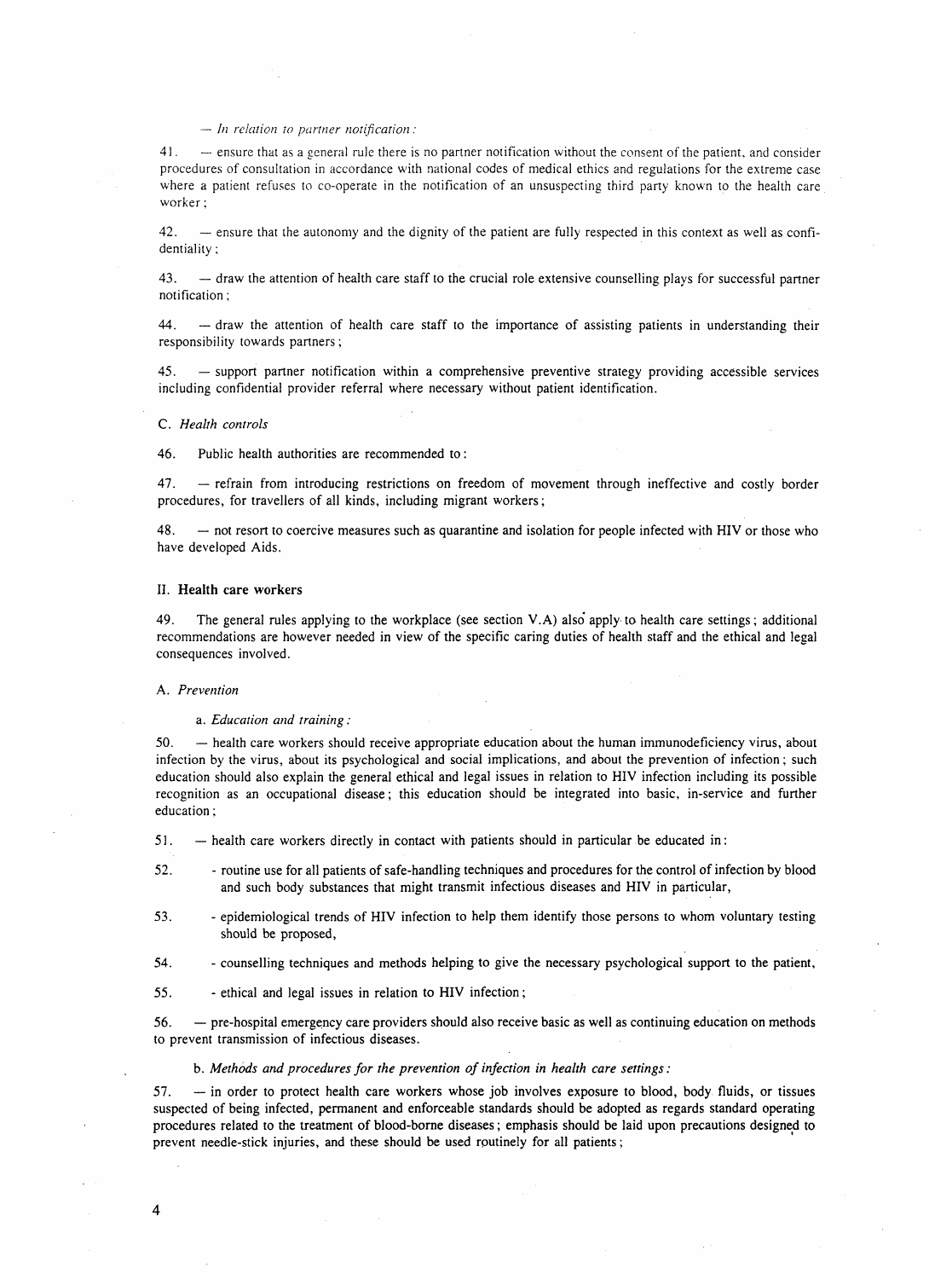# $-$  In relation to partner notification:

 $41.$  - ensure that as a general rule there is no partner notification without the consent of the patient, and consider procedures of consultation in accordance with national codes of medical ethics and regulations for the extreme case where a patient refuses to co-operate in the notification of an unsuspecting third party known to the health care worker;

42. - ensure that the autonomy and the dignity of the patient are fully respected in this context as well as confidentiality:

43. - draw the attention of health care staff to the crucial role extensive counselling plays for successful partner notification;

44. - draw the attention of health care staff to the importance of assisting patients in understanding their responsibility towards partners;

45. - support partner notification within a comprehensive preventive strategy providing accessible services including confidential provider referral where necessary without patient identification.

#### C. Health controls

46. Public health authorities are recommended to:

47. - refrain from introducing restrictions on freedom of movement through ineffective and costly border procedures, for travellers of all kinds, including migrant workers;

48. - - not resort to coercive measures such as quarantine and isolation for people infected with HIV or those who have developed Aids.

# II. Health care workers

49. The general rules applying to the workplace (see section V.A) also apply to health care settings; additional recommendations are however needed in view of the specific caring duties of health staff and the ethical and legal consequences involved.

#### A. Prevention

a. Education and training:

50. - health care workers should receive appropriate education about the human immunodeficiency virus, about infection by the virus, about its psychological and social implications, and about the prevention of infection; such education should also explain the general ethical and legal issues in relation to HIV infection including its possible recognition as an occupational disease; this education should be integrated into basic, in-service and further education;

 $51.$  - health care workers directly in contact with patients should in particular be educated in:

- 52. routine use for all patients of safe-handling techniques and procedures for the control of infection by blood and such body substances that might transmit infectious diseases and HIV in particular,
- 53. epidemiological trends of HIV infection to help them identify those persons to whom voluntary testing should be proposed,
- 54. counselling techniques and methods helping to give the necessary psychological support to the patient,
- 55. ethical and legal issues in relation to HIV infection;

56. - pre-hospital emergency care providers should also receive basic as well as continuing education on methods to prevent transmission of infectious diseases.

b. Methods and procedures for the prevention of infection in health care settings:

57. - in order to protect health care workers whose job involves exposure to blood, body fluids, or tissues suspected of being infected, permanent and enforceable standards should be adopted as regards standard operating procedures related to the treatment of blood-borne diseases; emphasis should be laid upon precautions designed to prevent needle-stick injuries, and these should be used routinely for all patients;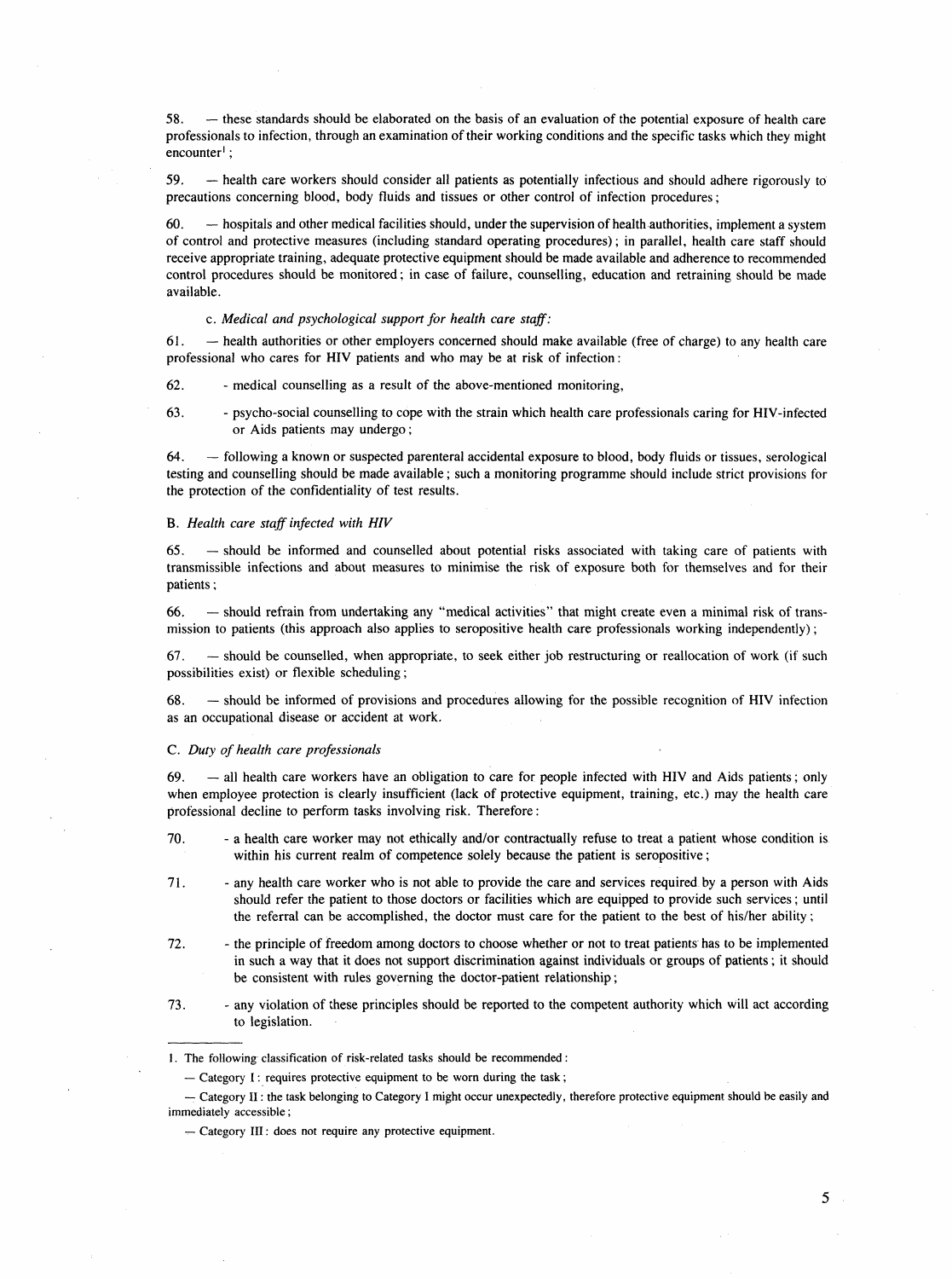58. - these standards should be elaborated on the basis of an evaluation of the potential exposure of health care professionals to infection, through an examination of their working conditions and the specific tasks which they might encounter<sup>1</sup>;

59. - health care workers should consider all patients as potentially infectious and should adhere rigorously to precautions concerning blood, body fluids and tissues or other control of infection procedures;

60. - hospitals and other medical facilities should, under the supervision of health authorities, implement a system of control and protective measures (including standard operating procedures); in parallel, health care staff should receive appropriate training, adequate protective equipment should be made available and adherence to recommended control procedures should be monitored; in case of failure, counselling, education and retraining should be made available.

#### c. Medical and psychological support for health care staff:

 $61.$  - health authorities or other employers concerned should make available (free of charge) to any health care professional who cares for HIV patients and who may be at risk of infection:

62. - medical counselling as a result of the above-mentioned monitoring,

63. - psycho-social counselling to cope with the strain which health care professionals caring for HIV-infected or Aids patients may undergo;

64. - following a known or suspected parenteral accidental exposure to blood, body fluids or tissues, serological testing and counselling should be made available; such a monitoring programme should include strict provisions for the protection of the confidentiality of test results.

#### B. Health care staff infected with HIV

 $65.$  - should be informed and counselled about potential risks associated with taking care of patients with transmissible infections and about measures to minimise the risk of exposure both for themselves and for their patients;

66. - should refrain from undertaking any "medical activities" that might create even a minimal risk of transmission to patients (this approach also applies to seropositive health care professionals working independently);

67. - should be counselled, when appropriate, to seek either job restructuring or reallocation of work (if such possibilities exist) or flexible scheduling;

68. - should be informed of provisions and procedures allowing for the possible recognition of HIV infection as an occupational disease or accident at work.

#### C. Duty of health care professionals

 $69.$  - all health care workers have an obligation to care for people infected with HIV and Aids patients; only when employee protection is clearly insufficient (lack of protective equipment, training, etc.) may the health care professional decline to perform tasks involving risk. Therefore:

- 70. a health care worker may not ethically and/or contractually refuse to treat a patient whose condition is within his current realm of competence solely because the patient is seropositive;
- 71. any health care worker who is not able to provide the care and services required by a person with Aids should refer the patient to those doctors or facilities which are equipped to provide such services; until the referral can be accomplished, the doctor must care for the patient to the best of his/her ability;
- 72. the principle of freedom among doctors to choose whether or not to treat patients has to be implemented in such a way that it does not support discrimination against individuals or groups of patients; it should be consistent with rules governing the doctor-patient relationship;
- 73. any violation of these principles should be reported to the competent authority which will act according to legislation.

<sup>1.</sup> The following classification of risk-related tasks should be recommended:

 $-$  Category I: requires protective equipment to be worn during the task;

<sup>-</sup> Category II: the task belonging to Category I might occur unexpectedly, therefore protective equipment should be easily and immediately accessible;

<sup>-</sup> Category III: does not require any protective equipment.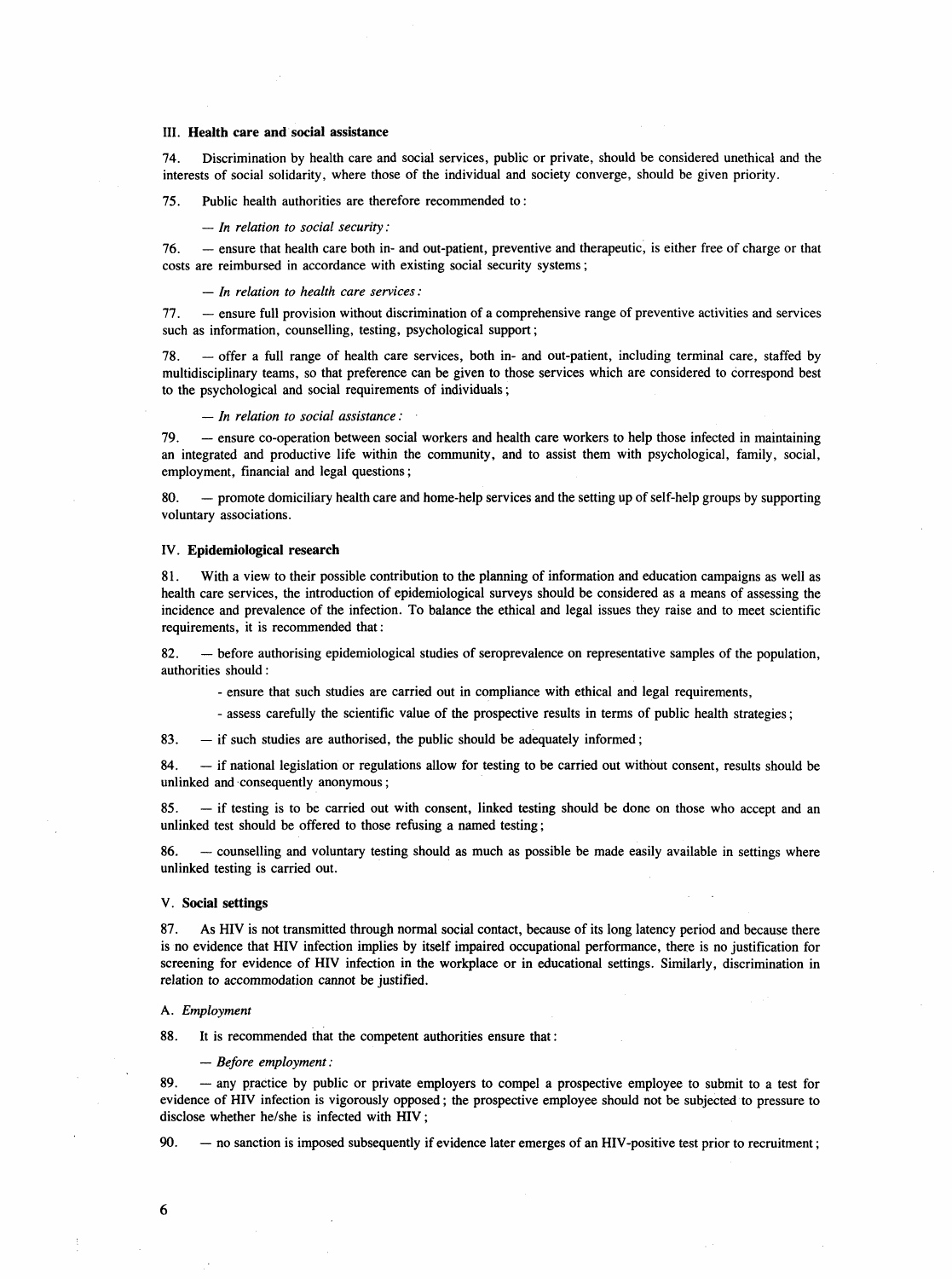# III. Health care and social assistance

74. Discrimination by health care and social services, public or private, should be considered unethical and the interests of social solidarity, where those of the individual and society converge, should be given priority.

75. Public health authorities are therefore recommended to:

#### $-$  In relation to social security:

76. - ensure that health care both in- and out-patient, preventive and therapeutic, is either free of charge or that costs are reimbursed in accordance with existing social security systems;

#### - In relation to health care services:

77. - ensure full provision without discrimination of a comprehensive range of preventive activities and services such as information, counselling, testing, psychological support;

78. - offer a full range of health care services, both in- and out-patient, including terminal care, staffed by multidisciplinary teams, so that preference can be given to those services which are considered to correspond best to the psychological and social requirements of individuals;

#### $-$  In relation to social assistance:

79. - ensure co-operation between social workers and health care workers to help those infected in maintaining an integrated and productive life within the community, and to assist them with psychological, family, social, employment, financial and legal questions;

80. - promote domiciliary health care and home-help services and the setting up of self-help groups by supporting voluntary associations.

## IV. Epidemiological research

81. With a view to their possible contribution to the planning of information and education campaigns as well as health care services, the introduction of epidemiological surveys should be considered as a means of assessing the incidence and prevalence of the infection. To balance the ethical and legal issues they raise and to meet scientific requirements, it is recommended that:

82. - before authorising epidemiological studies of seroprevalence on representative samples of the population, authorities should:

- ensure that such studies are carried out in compliance with ethical and legal requirements,

- assess carefully the scientific value of the prospective results in terms of public health strategies;

83.  $-$  if such studies are authorised, the public should be adequately informed;

84. - if national legislation or regulations allow for testing to be carried out without consent, results should be unlinked and consequently anonymous;

85. - if testing is to be carried out with consent, linked testing should be done on those who accept and an unlinked test should be offered to those refusing a named testing;

86. - counselling and voluntary testing should as much as possible be made easily available in settings where unlinked testing is carried out.

#### V. Social settings

87. As HIV is not transmitted through normal social contact, because of its long latency period and because there is no evidence that HIV infection implies by itself impaired occupational performance, there is no justification for screening for evidence of HIV infection in the workplace or in educational settings. Similarly, discrimination in relation to accommodation cannot be justified.

# A. Employment

88. It is recommended that the competent authorities ensure that:

- Before employment:

89. - any practice by public or private employers to compel a prospective employee to submit to a test for evidence of HIV infection is vigorously opposed; the prospective employee should not be subjected to pressure to disclose whether he/she is infected with HIV;

90. - no sanction is imposed subsequently if evidence later emerges of an HIV-positive test prior to recruitment;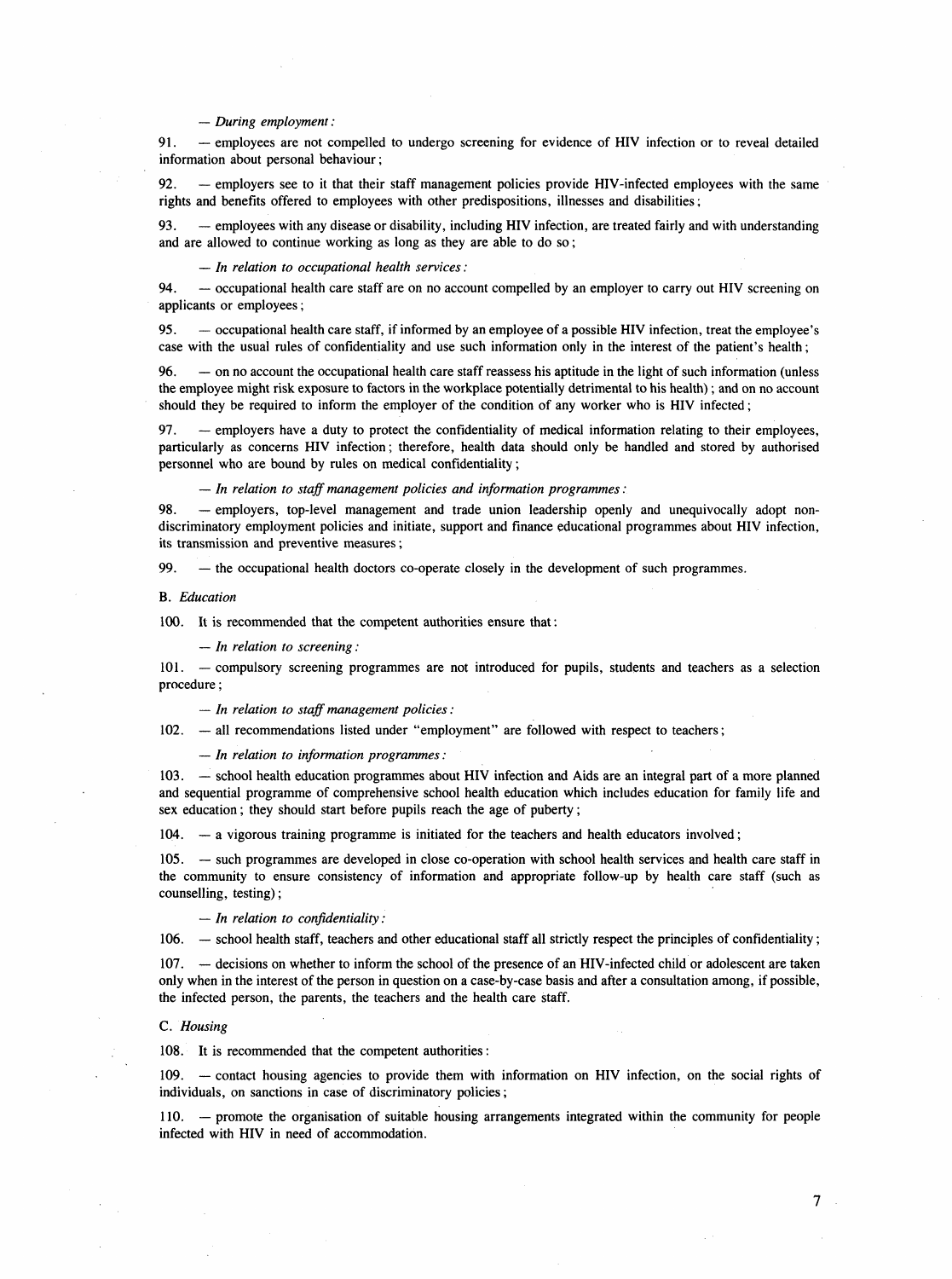# $-During$  employment:

91. - employees are not compelled to undergo screening for evidence of HIV infection or to reveal detailed information about personal behaviour;

92. - employers see to it that their staff management policies provide HIV-infected employees with the same rights and benefits offered to employees with other predispositions, illnesses and disabilities;

93. - memployees with any disease or disability, including HIV infection, are treated fairly and with understanding and are allowed to continue working as long as they are able to do so;

 $-$  In relation to occupational health services:

94. - occupational health care staff are on no account compelled by an employer to carry out HIV screening on applicants or employees;

95. - occupational health care staff, if informed by an employee of a possible HIV infection, treat the employee's case with the usual rules of confidentiality and use such information only in the interest of the patient's health;

96. - on no account the occupational health care staff reassess his aptitude in the light of such information (unless the employee might risk exposure to factors in the workplace potentially detrimental to his health); and on no account should they be required to inform the employer of the condition of any worker who is HIV infected;

97. - employers have a duty to protect the confidentiality of medical information relating to their employees, particularly as concerns HIV infection; therefore, health data should only be handled and stored by authorised personnel who are bound by rules on medical confidentiality;

 $-$  In relation to staff management policies and information programmes:

98. - employers, top-level management and trade union leadership openly and unequivocally adopt nondiscriminatory employment policies and initiate, support and finance educational programmes about HIV infection, its transmission and preventive measures;

99.  $-$  the occupational health doctors co-operate closely in the development of such programmes.

# B. Education

100. It is recommended that the competent authorities ensure that:

 $-$  In relation to screening:

101. - compulsory screening programmes are not introduced for pupils, students and teachers as a selection procedure;

- In relation to staff management policies:

102. - all recommendations listed under "employment" are followed with respect to teachers;

- In relation to information programmes:

103. - school health education programmes about HIV infection and Aids are an integral part of a more planned and sequential programme of comprehensive school health education which includes education for family life and sex education; they should start before pupils reach the age of puberty;

 $104. - a$  vigorous training programme is initiated for the teachers and health educators involved;

105.  $-$  such programmes are developed in close co-operation with school health services and health care staff in the community to ensure consistency of information and appropriate follow-up by health care staff (such as counselling, testing);

 $-$  In relation to confidentiality:

106. - school health staff, teachers and other educational staff all strictly respect the principles of confidentiality;

107.  $-$  decisions on whether to inform the school of the presence of an HIV-infected child or adolescent are taken only when in the interest of the person in question on a case-by-case basis and after a consultation among, if possible, the infected person, the parents, the teachers and the health care staff.

# C. Housing

108. It is recommended that the competent authorities:

109. - contact housing agencies to provide them with information on HIV infection, on the social rights of individuals, on sanctions in case of discriminatory policies;

110. - promote the organisation of suitable housing arrangements integrated within the community for people infected with HIV in need of accommodation.